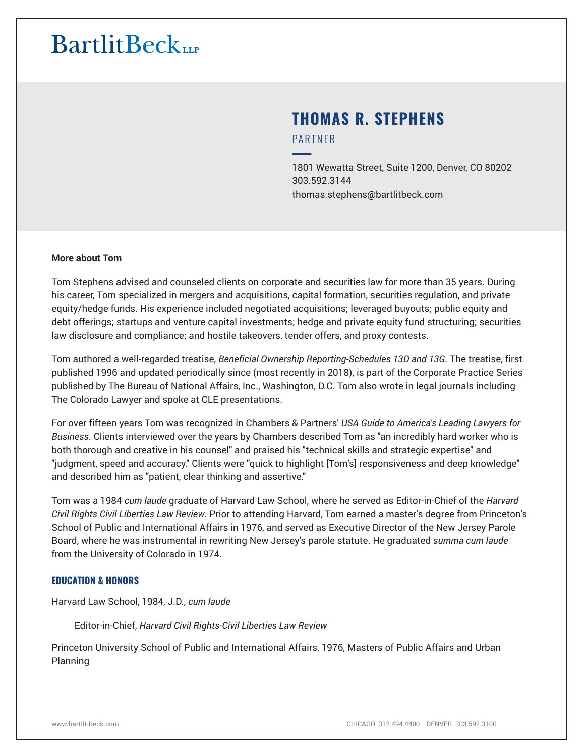## **THOMAS R. STEPHENS** PARTNER

━1801 Wewatta Street, Suite 1200, Denver, CO 80202 303.592.3144 thomas.stephens@bartlitbeck.com

### **More about Tom**

Tom Stephens advised and counseled clients on corporate and securities law for more than 35 years. During his career, Tom specialized in mergers and acquisitions, capital formation, securities regulation, and private equity/hedge funds. His experience included negotiated acquisitions; leveraged buyouts; public equity and debt offerings; startups and venture capital investments; hedge and private equity fund structuring; securities law disclosure and compliance; and hostile takeovers, tender offers, and proxy contests.

Tom authored a well-regarded treatise, *Beneficial Ownership Reporting-Schedules 13D and 13G*. The treatise, first published 1996 and updated periodically since (most recently in 2018), is part of the Corporate Practice Series published by The Bureau of National Affairs, Inc., Washington, D.C. Tom also wrote in legal journals including The Colorado Lawyer and spoke at CLE presentations.

For over fifteen years Tom was recognized in Chambers & Partners' *USA Guide to America's Leading Lawyers for Business*. Clients interviewed over the years by Chambers described Tom as "an incredibly hard worker who is both thorough and creative in his counsel" and praised his "technical skills and strategic expertise" and "judgment, speed and accuracy." Clients were "quick to highlight [Tom's] responsiveness and deep knowledge" and described him as "patient, clear thinking and assertive."

Tom was a 1984 *cum laude* graduate of Harvard Law School, where he served as Editor-in-Chief of the *Harvard Civil Rights Civil Liberties Law Review*. Prior to attending Harvard, Tom earned a master's degree from Princeton's School of Public and International Affairs in 1976, and served as Executive Director of the New Jersey Parole Board, where he was instrumental in rewriting New Jersey's parole statute. He graduated *summa cum laude* from the University of Colorado in 1974.

#### **EDUCATION & HONORS**

Harvard Law School, 1984, J.D., *cum laude*

Editor-in-Chief, *Harvard Civil Rights-Civil Liberties Law Review*

Princeton University School of Public and International Affairs, 1976, Masters of Public Affairs and Urban Planning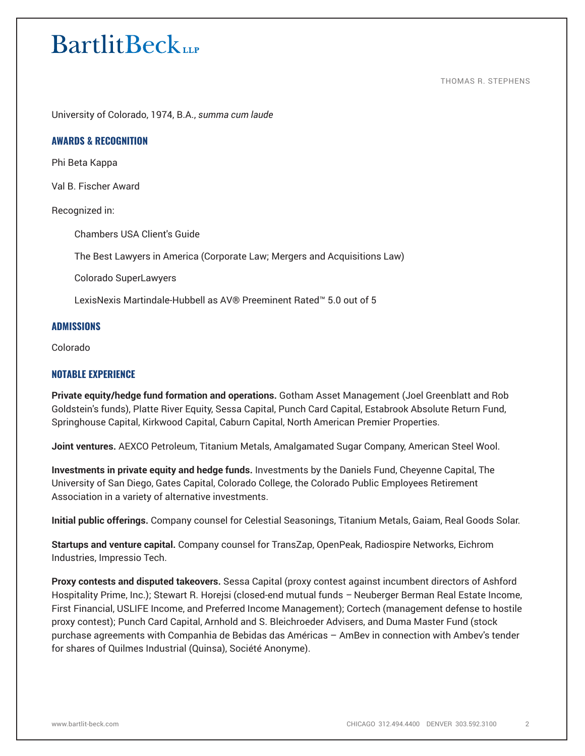THOMAS R. STEPHENS

University of Colorado, 1974, B.A., *summa cum laude*

#### **AWARDS & RECOGNITION**

Phi Beta Kappa

Val B. Fischer Award

Recognized in:

Chambers USA Client's Guide

The Best Lawyers in America (Corporate Law; Mergers and Acquisitions Law)

Colorado SuperLawyers

LexisNexis Martindale-Hubbell as AV® Preeminent Rated™ 5.0 out of 5

### **ADMISSIONS**

Colorado

#### **NOTABLE EXPERIENCE**

**Private equity/hedge fund formation and operations.** Gotham Asset Management (Joel Greenblatt and Rob Goldstein's funds), Platte River Equity, Sessa Capital, Punch Card Capital, Estabrook Absolute Return Fund, Springhouse Capital, Kirkwood Capital, Caburn Capital, North American Premier Properties.

**Joint ventures.** AEXCO Petroleum, Titanium Metals, Amalgamated Sugar Company, American Steel Wool.

**Investments in private equity and hedge funds.** Investments by the Daniels Fund, Cheyenne Capital, The University of San Diego, Gates Capital, Colorado College, the Colorado Public Employees Retirement Association in a variety of alternative investments.

**Initial public offerings.** Company counsel for Celestial Seasonings, Titanium Metals, Gaiam, Real Goods Solar.

**Startups and venture capital.** Company counsel for TransZap, OpenPeak, Radiospire Networks, Eichrom Industries, Impressio Tech.

**Proxy contests and disputed takeovers.** Sessa Capital (proxy contest against incumbent directors of Ashford Hospitality Prime, Inc.); Stewart R. Horejsi (closed-end mutual funds *–* Neuberger Berman Real Estate Income, First Financial, USLIFE Income, and Preferred Income Management); Cortech (management defense to hostile proxy contest); Punch Card Capital, Arnhold and S. Bleichroeder Advisers, and Duma Master Fund (stock purchase agreements with Companhia de Bebidas das Américas – AmBev in connection with Ambev's tender for shares of Quilmes Industrial (Quinsa), Société Anonyme).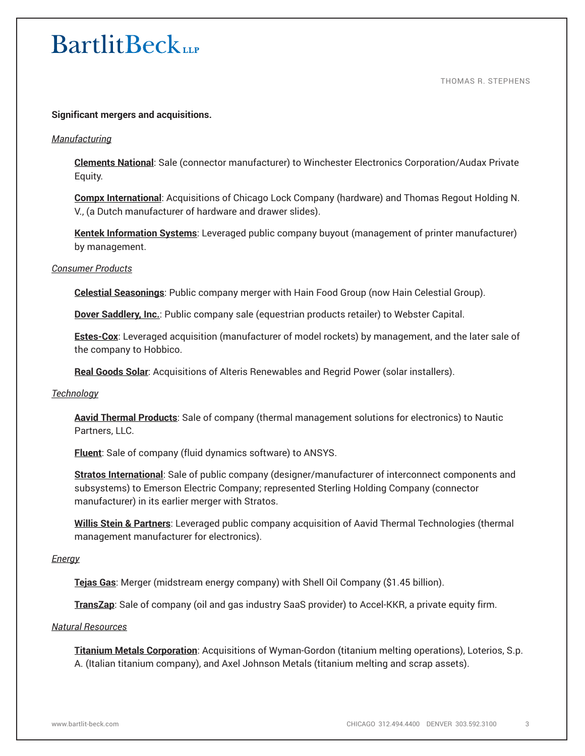THOMAS R. STEPHENS

### **Significant mergers and acquisitions.**

#### *Manufacturing*

**Clements National**: Sale (connector manufacturer) to Winchester Electronics Corporation/Audax Private Equity.

**Compx International**: Acquisitions of Chicago Lock Company (hardware) and Thomas Regout Holding N. V., (a Dutch manufacturer of hardware and drawer slides).

**Kentek Information Systems**: Leveraged public company buyout (management of printer manufacturer) by management.

#### *Consumer Products*

**Celestial Seasonings**: Public company merger with Hain Food Group (now Hain Celestial Group).

**Dover Saddlery, Inc.**: Public company sale (equestrian products retailer) to Webster Capital.

**Estes-Cox**: Leveraged acquisition (manufacturer of model rockets) by management, and the later sale of the company to Hobbico.

**Real Goods Solar**: Acquisitions of Alteris Renewables and Regrid Power (solar installers).

### *Technology*

**Aavid Thermal Products**: Sale of company (thermal management solutions for electronics) to Nautic Partners, LLC.

**Fluent**: Sale of company (fluid dynamics software) to ANSYS.

**Stratos International**: Sale of public company (designer/manufacturer of interconnect components and subsystems) to Emerson Electric Company; represented Sterling Holding Company (connector manufacturer) in its earlier merger with Stratos.

**Willis Stein & Partners**: Leveraged public company acquisition of Aavid Thermal Technologies (thermal management manufacturer for electronics).

#### *Energy*

**Tejas Gas**: Merger (midstream energy company) with Shell Oil Company (\$1.45 billion).

**TransZap**: Sale of company (oil and gas industry SaaS provider) to Accel-KKR, a private equity firm.

#### *Natural Resources*

**Titanium Metals Corporation**: Acquisitions of Wyman-Gordon (titanium melting operations), Loterios, S.p. A. (Italian titanium company), and Axel Johnson Metals (titanium melting and scrap assets).